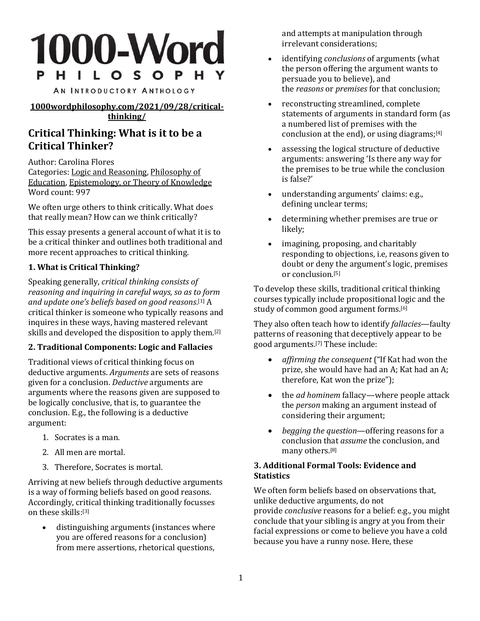# **1000-Word HILOSOPHY**

AN INTRODUCTORY ANTHOLOGY

# **[1000wordphilosophy.com/2021/09/28/critical](https://1000wordphilosophy.com/2021/09/28/critical-thinking/)[thinking/](https://1000wordphilosophy.com/2021/09/28/critical-thinking/)**

# **Critical Thinking: What is it to be a Critical Thinker?**

Author: Carolina Flores Categories: Logic and [Reasoning,](https://1000wordphilosophy.com/logic/) [Philosophy](https://1000wordphilosophy.com/philosophy-of-education/) of [Education,](https://1000wordphilosophy.com/philosophy-of-education/) [Epistemology,](https://1000wordphilosophy.com/epistemology/) or Theory of Knowledge Word count: 997

We often urge others to think critically. What does that really mean? How can we think critically?

This essay presents a general account of what it is to be a critical thinker and outlines both traditional and more recent approaches to critical thinking.

# **1. What is Critical Thinking?**

Speaking generally, *critical thinking consists of reasoning and inquiring in careful ways, so as to form and update one's beliefs based on good reasons*. [\[1\]](https://1000wordphilosophy.com/2021/09/28/critical-thinking/#_ftn1) A critical thinker is someone who typically reasons and inquires in these ways, having mastered relevant skills and developed the disposition to apply them. [\[2\]](https://1000wordphilosophy.com/2021/09/28/critical-thinking/#_ftn2)

# **2. Traditional Components: Logic and Fallacies**

Traditional views of critical thinking focus on deductive arguments. *Arguments* are sets of reasons given for a conclusion. *Deductive* arguments are arguments where the reasons given are supposed to be logically conclusive, that is, to guarantee the conclusion. E.g., the following is a deductive argument:

- 1. Socrates is a man.
- 2. All men are mortal.
- 3. Therefore, Socrates is mortal.

Arriving at new beliefs through deductive arguments is a way of forming beliefs based on good reasons. Accordingly, critical thinking traditionally focusses on these skills: [\[3\]](https://1000wordphilosophy.com/2021/09/28/critical-thinking/#_ftn3)

• distinguishing arguments (instances where you are offered reasons for a conclusion) from mere assertions, rhetorical questions, and attempts at manipulation through irrelevant considerations;

- identifying *conclusions* of arguments (what the person offering the argument wants to persuade you to believe), and the *reasons* or *premises* for that conclusion;
- reconstructing streamlined, complete statements of arguments in standard form (as a numbered list of premises with the conclusion at the end), or using diagrams; [\[4\]](https://1000wordphilosophy.com/2021/09/28/critical-thinking/#_ftn4)
- assessing the logical structure of deductive arguments: answering 'Is there any way for the premises to be true while the conclusion is false?'
- understanding arguments' claims: e.g., defining unclear terms;
- determining whether premises are true or likely;
- imagining, proposing, and charitably responding to objections, i.e, reasons given to doubt or deny the argument's logic, premises or conclusion. [\[5\]](https://1000wordphilosophy.com/2021/09/28/critical-thinking/#_ftn5)

To develop these skills, traditional critical thinking courses typically include propositional logic and the study of common good argument forms. [\[6\]](https://1000wordphilosophy.com/2021/09/28/critical-thinking/#_ftn6)

They also often teach how to identify *fallacies*—faulty patterns of reasoning that deceptively appear to be good arguments. [\[7\]](https://1000wordphilosophy.com/2021/09/28/critical-thinking/#_ftn7) These include:

- *affirming the consequent* ("If Kat had won the prize, she would have had an A; Kat had an A; therefore, Kat won the prize");
- the *ad hominem* fallacy—where people attack the *person* making an argument instead of considering their argument;
- *begging the question*—offering reasons for a conclusion that *assume* the conclusion, and many others. [\[8\]](https://1000wordphilosophy.com/2021/09/28/critical-thinking/#_ftn8)

#### **3. Additional Formal Tools: Evidence and Statistics**

We often form beliefs based on observations that. unlike deductive arguments, do not provide *conclusive* reasons for a belief: e.g., you might conclude that your sibling is angry at you from their facial expressions or come to believe you have a cold because you have a runny nose. Here, these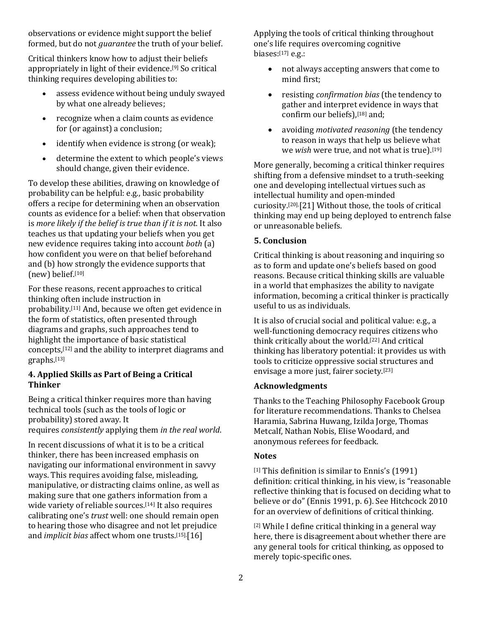observations or evidence might support the belief formed, but do not *guarantee* the truth of your belief.

Critical thinkers know how to adjust their beliefs appropriately in light of their evidence. [\[9\]](https://1000wordphilosophy.com/2021/09/28/critical-thinking/#_ftn9) So critical thinking requires developing abilities to:

- assess evidence without being unduly swayed by what one already believes;
- recognize when a claim counts as evidence for (or against) a conclusion;
- identify when evidence is strong (or weak);
- determine the extent to which people's views should change, given their evidence.

To develop these abilities, drawing on knowledge of probability can be helpful: e.g., basic probability offers a recipe for determining when an observation counts as evidence for a belief: when that observation is *more likely if the belief is true than if it is not*. It also teaches us that updating your beliefs when you get new evidence requires taking into account *both* (a) how confident you were on that belief beforehand and (b) how strongly the evidence supports that (new) belief. [\[10\]](https://1000wordphilosophy.com/2021/09/28/critical-thinking/#_ftn10)

For these reasons, recent approaches to critical thinking often include instruction in probability. [\[11\]](https://1000wordphilosophy.com/2021/09/28/critical-thinking/#_ftn11) And, because we often get evidence in the form of statistics, often presented through diagrams and graphs, such approaches tend to highlight the importance of basic statistical concepts, [\[12\]](https://1000wordphilosophy.com/2021/09/28/critical-thinking/#_ftn12) and the ability to interpret diagrams and graphs. [\[13\]](https://1000wordphilosophy.com/2021/09/28/critical-thinking/#_ftn13)

### **4. Applied Skills as Part of Being a Critical Thinker**

Being a critical thinker requires more than having technical tools (such as the tools of logic or probability) stored away. It requires *consistently* applying them *in the real world*.

In recent discussions of what it is to be a critical thinker, there has been increased emphasis on navigating our informational environment in savvy ways. This requires avoiding false, misleading, manipulative, or distracting claims online, as well as making sure that one gathers information from a wide variety of reliable sources. [\[14\]](https://1000wordphilosophy.com/2021/09/28/critical-thinking/#_ftn14) It also requires calibrating one's *trust* well: one should remain open to hearing those who disagree and not let prejudice and *implicit bias* affect whom one trusts. [\[15\],](https://1000wordphilosophy.com/2021/09/28/critical-thinking/#_ftn15)[\[16\]](https://1000wordphilosophy.com/2021/09/28/critical-thinking/#_ftn16)

Applying the tools of critical thinking throughout one's life requires overcoming cognitive biases:[\[17\]](https://1000wordphilosophy.com/2021/09/28/critical-thinking/#_ftn17) e.g.:

- not always accepting answers that come to mind first;
- resisting *confirmation bias* (the tendency to gather and interpret evidence in ways that confirm our beliefs),<sup>[\[18\]](https://1000wordphilosophy.com/2021/09/28/critical-thinking/#_ftn18)</sup> and;
- avoiding *motivated reasoning* (the tendency to reason in ways that help us believe what we *wish* were true, and not what is true). [\[19\]](https://1000wordphilosophy.com/2021/09/28/critical-thinking/#_ftn19)

More generally, becoming a critical thinker requires shifting from a defensive mindset to a truth-seeking one and developing intellectual virtues such as intellectual humility and open-minded curiosity. [\[20\],](https://1000wordphilosophy.com/2021/09/28/critical-thinking/#_ftn20)[\[21\]](https://1000wordphilosophy.com/2021/09/28/critical-thinking/#_ftn21) Without those, the tools of critical thinking may end up being deployed to entrench false or unreasonable beliefs.

# **5. Conclusion**

Critical thinking is about reasoning and inquiring so as to form and update one's beliefs based on good reasons. Because critical thinking skills are valuable in a world that emphasizes the ability to navigate information, becoming a critical thinker is practically useful to us as individuals.

It is also of crucial social and political value: e.g., a well-functioning democracy requires citizens who think critically about the world. [\[22\]](https://1000wordphilosophy.com/2021/09/28/critical-thinking/#_ftn22) And critical thinking has liberatory potential: it provides us with tools to criticize oppressive social structures and envisage a more just, fairer society.<sup>[\[23\]](https://1000wordphilosophy.com/2021/09/28/critical-thinking/#_ftn23)</sup>

# **Acknowledgments**

Thanks to the Teaching Philosophy Facebook Group for literature recommendations. Thanks to Chelsea Haramia, Sabrina Huwang, Izilda Jorge, Thomas Metcalf, Nathan Nobis, Elise Woodard, and anonymous referees for feedback.

### **Notes**

[\[1\]](https://1000wordphilosophy.com/2021/09/28/critical-thinking/#_ftnref1) This definition is similar to Ennis's (1991) definition: critical thinking, in his view, is "reasonable reflective thinking that is focused on deciding what to believe or do" (Ennis 1991, p. 6). See Hitchcock 2010 for an overview of definitions of critical thinking.

[\[2\]](https://1000wordphilosophy.com/2021/09/28/critical-thinking/#_ftnref2) While I define critical thinking in a general way here, there is disagreement about whether there are any general tools for critical thinking, as opposed to merely topic-specific ones.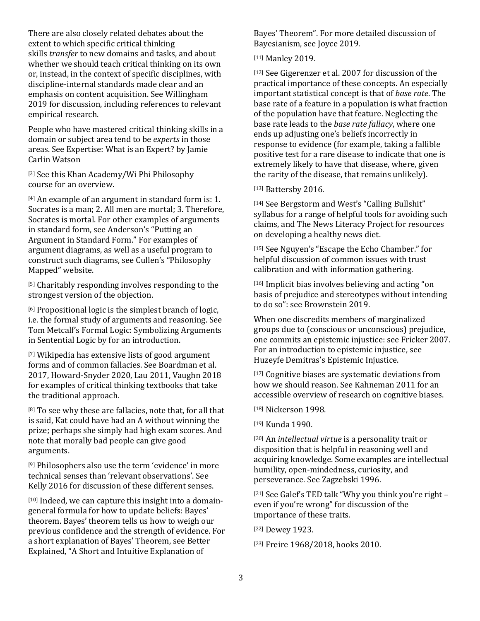There are also closely related debates about the extent to which specific critical thinking skills *transfer* to new domains and tasks, and about whether we should teach critical thinking on its own or, instead, in the context of specific disciplines, with discipline-internal standards made clear and an emphasis on content acquisition. See [Willingham](https://1000wordphilosophy.com/2021/09/28/critical-thinking/#30j0zll) [2019](https://1000wordphilosophy.com/2021/09/28/critical-thinking/#30j0zll) for discussion, including references to relevant empirical research.

People who have mastered critical thinking skills in a domain or subject area tend to be *experts* in those areas. See [Expertise:](https://1000wordphilosophy.com/2018/10/25/expertise/) What is an Expert? by Jamie Carlin Watson

[\[3\]](https://1000wordphilosophy.com/2021/09/28/critical-thinking/#_ftnref3) See this Khan [Academy/Wi](https://www.khanacademy.org/partner-content/wi-phi/wiphi-critical-thinking) Phi [Philosophy](https://www.khanacademy.org/partner-content/wi-phi/wiphi-critical-thinking) [course](https://www.khanacademy.org/partner-content/wi-phi/wiphi-critical-thinking) for an overview.

[\[4\]](https://1000wordphilosophy.com/2021/09/28/critical-thinking/#_ftnref4) An example of an argument in standard form is: 1. Socrates is a man; 2. All men are mortal; 3. Therefore, Socrates is mortal. For other examples of arguments in standard form, see [Anderson's](http://academic.depauw.edu/jeremyanderson_web/eteach/101_standardform.html) "Putting an [Argument](http://academic.depauw.edu/jeremyanderson_web/eteach/101_standardform.html) in Standard Form." For examples of argument diagrams, as well as a useful program to construct such diagrams, see Cullen's ["Philosophy](https://maps.simoncullen.org/) [Mapped"](https://maps.simoncullen.org/) website.

[\[5\]](https://1000wordphilosophy.com/2021/09/28/critical-thinking/#_ftnref5) Charitably responding involves responding to the strongest version of the objection.

[\[6\]](https://1000wordphilosophy.com/2021/09/28/critical-thinking/#_ftnref6) Propositional logic is the simplest branch of logic, i.e. the formal study of arguments and reasoning. See Tom Metcalf's Formal Logic: [Symbolizing](https://1000wordphilosophy.com/2021/03/02/formal-logic-symbolizing-arguments-in-sentential-logic/) Arguments in [Sentential](https://1000wordphilosophy.com/2021/03/02/formal-logic-symbolizing-arguments-in-sentential-logic/) Logic by for an introduction.

[\[7\]](https://1000wordphilosophy.com/2021/09/28/critical-thinking/#_ftnref7) Wikipedia has extensive lists of good [argument](https://en.wikipedia.org/wiki/List_of_valid_argument_forms) [forms](https://en.wikipedia.org/wiki/List_of_valid_argument_forms) and of [common](https://en.wikipedia.org/wiki/List_of_fallacies) fallacies. See Boardman et al. 2017, Howard-Snyder 2020, Lau [2011,](https://1000wordphilosophy.com/2021/09/28/critical-thinking/#gjdgxs) Vaughn 2018 for examples of critical thinking textbooks that take the traditional approach.

[\[8\]](https://1000wordphilosophy.com/2021/09/28/critical-thinking/#_ftnref8) To see why these are fallacies, note that, for all that is said, Kat could have had an A without winning the prize; perhaps she simply had high exam scores. And note that morally bad people can give good arguments.

[\[9\]](https://1000wordphilosophy.com/2021/09/28/critical-thinking/#_ftnref9) Philosophers also use the term 'evidence' in more technical senses than 'relevant observations'. See Kelly 2016 for discussion of these different senses.

[\[10\]](https://1000wordphilosophy.com/2021/09/28/critical-thinking/#_ftnref10) Indeed, we can capture this insight into a domaingeneral formula for how to update beliefs: Bayes' theorem. Bayes' theorem tells us how to weigh our previous confidence and the strength of evidence. For a short explanation of Bayes' Theorem, see [Better](https://betterexplained.com/articles/an-intuitive-and-short-explanation-of-bayes-theorem/) Explained, "A Short and Intuitive [Explanation](https://betterexplained.com/articles/an-intuitive-and-short-explanation-of-bayes-theorem/) of

Bayes' [Theorem"](https://betterexplained.com/articles/an-intuitive-and-short-explanation-of-bayes-theorem/). For more detailed discussion of Bayesianism, see Joyce 2019.

[\[11\]](https://1000wordphilosophy.com/2021/09/28/critical-thinking/#_ftnref11) Manley 2019.

[\[12\]](https://1000wordphilosophy.com/2021/09/28/critical-thinking/#_ftnref12) See Gigerenzer et al. 2007 for discussion of the practical importance of these concepts. An especially important statistical concept is that of *base rate*. The base rate of a feature in a population is what fraction of the population have that feature. Neglecting the base rate leads to the *base rate fallacy*, where one ends up adjusting one's beliefs incorrectly in response to evidence (for example, taking a fallible positive test for a rare disease to indicate that one is extremely likely to have that disease, where, given the rarity of the disease, that remains unlikely).

[\[13\]](https://1000wordphilosophy.com/2021/09/28/critical-thinking/#_ftnref13) Battersby 2016.

[\[14\]](https://1000wordphilosophy.com/2021/09/28/critical-thinking/#_ftnref14) See [Bergstorm](https://www.callingbullshit.org/syllabus.html) and West's "Calling Bullshit" [syllabus](https://www.callingbullshit.org/syllabus.html) for a range of helpful tools for avoiding such claims, and The News [Literacy](https://newslit.org/) Project for resources on developing a healthy news diet.

[\[15\]](https://1000wordphilosophy.com/2021/09/28/critical-thinking/#_ftnref15) See Nguyen's "Escape the Echo [Chamber."](https://aeon.co/essays/why-its-as-hard-to-escape-an-echo-chamber-as-it-is-to-flee-a-cult) for helpful discussion of common issues with trust calibration and with information gathering.

[\[16\]](https://1000wordphilosophy.com/2021/09/28/critical-thinking/#_ftnref16) Implicit bias involves believing and acting "on basis of prejudice and stereotypes without intending to do so": see Brownstein 2019.

When one discredits members of marginalized groups due to (conscious or unconscious) prejudice, one commits an epistemic injustice: see Fricker 2007. For an introduction to epistemic injustice, see Huzeyfe Demitras's [Epistemic](https://1000wordphilosophy.com/2020/07/21/epistemic-injustice/) Injustice.

[\[17\]](https://1000wordphilosophy.com/2021/09/28/critical-thinking/#_ftnref17) Cognitive biases are systematic deviations from how we should reason. See Kahneman 2011 for an accessible overview of research on cognitive biases.

[\[18\]](https://1000wordphilosophy.com/2021/09/28/critical-thinking/#_ftnref18) Nickerson [1998.](https://1000wordphilosophy.com/2021/09/28/critical-thinking/#gjdgxs)

[\[19\]](https://1000wordphilosophy.com/2021/09/28/critical-thinking/#_ftnref19) Kunda 1990.

[\[20\]](https://1000wordphilosophy.com/2021/09/28/critical-thinking/#_ftnref20) An *intellectual virtue* is a personality trait or disposition that is helpful in reasoning well and acquiring knowledge. Some examples are intellectual humility, open-mindedness, curiosity, and perseverance. See Zagzebski 1996.

 $[21]$  See [Galef's](https://www.ted.com/talks/julia_galef_why_you_think_you_re_right_even_if_you_re_wrong) TED talk "Why you think you're right even if you're [wrong"](https://www.ted.com/talks/julia_galef_why_you_think_you_re_right_even_if_you_re_wrong) for discussion of the importance of these traits.

[\[22\]](https://1000wordphilosophy.com/2021/09/28/critical-thinking/#_ftnref22) Dewey 1923.

[\[23\]](https://1000wordphilosophy.com/2021/09/28/critical-thinking/#_ftnref23) Freire 1968/2018, hooks 2010.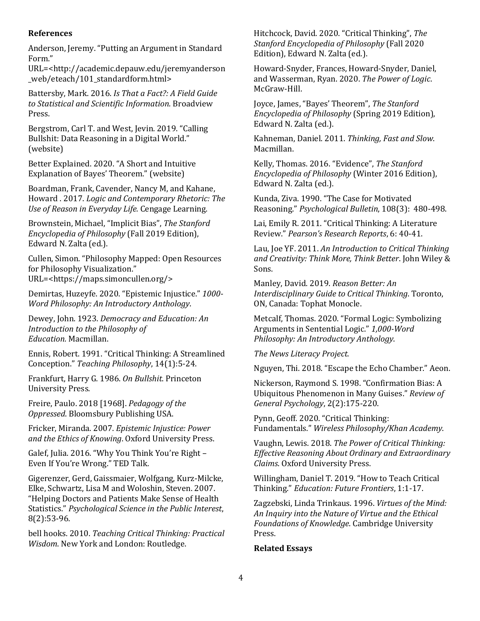#### **References**

[Anderson,](http://academic.depauw.edu/jeremyanderson_web/eteach/101_standardform.html) Jeremy. "Putting an Argument in Standard [Form."](http://academic.depauw.edu/jeremyanderson_web/eteach/101_standardform.html)

[URL=<http://academic.depauw.edu/jeremyanderson](http://academic.depauw.edu/jeremyanderson_web/eteach/101_standardform.html) web/eteach/101 standardform.html>

[Battersby,](https://broadviewpress.com/product/is-that-a-fact-second-edition/#tab-description) Mark. 2016. *Is That a [Fact?:](https://broadviewpress.com/product/is-that-a-fact-second-edition/#tab-description) A Field Guide to Statistical and Scientific [Information](https://broadviewpress.com/product/is-that-a-fact-second-edition/#tab-description)*. [Broadview](https://broadviewpress.com/product/is-that-a-fact-second-edition/#tab-description) [Press.](https://broadviewpress.com/product/is-that-a-fact-second-edition/#tab-description)

[Bergstrom,](https://www.callingbullshit.org/index.html) Carl T. and West, Jevin. 2019. "Calling Bullshit: Data [Reasoning](https://www.callingbullshit.org/index.html) in a Digital World." [\(website\)](https://www.callingbullshit.org/index.html)

Better [Explained.](https://betterexplained.com/articles/an-intuitive-and-short-explanation-of-bayes-theorem/) 2020. "A Short and Intuitive [Explanation](https://betterexplained.com/articles/an-intuitive-and-short-explanation-of-bayes-theorem/) of Bayes' Theorem." (website)

[Boardman,](https://www.cengage.com/c/logic-and-contemporary-rhetoric-the-use-of-reason-in-everyday-life-13e-boardman/9781305956025/) Frank, Cavender, Nancy M, and Kahane, [Howard](https://www.cengage.com/c/logic-and-contemporary-rhetoric-the-use-of-reason-in-everyday-life-13e-boardman/9781305956025/) . 2017. *Logic and [Contemporary](https://www.cengage.com/c/logic-and-contemporary-rhetoric-the-use-of-reason-in-everyday-life-13e-boardman/9781305956025/) Rhetoric: The Use of Reason in [Everyday](https://www.cengage.com/c/logic-and-contemporary-rhetoric-the-use-of-reason-in-everyday-life-13e-boardman/9781305956025/) Life.* Cengage [Learning.](https://www.cengage.com/c/logic-and-contemporary-rhetoric-the-use-of-reason-in-everyday-life-13e-boardman/9781305956025/)

[Brownstein,](https://plato.stanford.edu/entries/implicit-bias/) Michael, "Implicit Bias", *The [Stanford](https://plato.stanford.edu/entries/implicit-bias/) [Encyclopedia](https://plato.stanford.edu/entries/implicit-bias/) of Philosophy* (Fall 2019 [Edition\),](https://plato.stanford.edu/entries/implicit-bias/) [Edward](https://plato.stanford.edu/entries/implicit-bias/) N. Zalta (ed.).

Cullen, Simon. ["Philosophy](https://maps.simoncullen.org/) Mapped: Open Resources for Philosophy [Visualization."](https://maps.simoncullen.org/) [URL=<https://maps.simoncullen.org/>](https://maps.simoncullen.org/)

Demirtas, Huzeyfe. 2020. ["Epistemic](https://1000wordphilosophy.com/2020/07/21/epistemic-injustice/) Injustice." *[1000-](https://1000wordphilosophy.com/2020/07/21/epistemic-injustice/) Word Philosophy: An [Introductory](https://1000wordphilosophy.com/2020/07/21/epistemic-injustice/) Anthology*[.](https://1000wordphilosophy.com/2020/07/21/epistemic-injustice/)

[Dewey,](https://www.gutenberg.org/files/852/852-h/852-h.htm) John. 1923. *[Democracy](https://www.gutenberg.org/files/852/852-h/852-h.htm) and Education: An [Introduction](https://www.gutenberg.org/files/852/852-h/852-h.htm) to the Philosophy of [Education.](https://www.gutenberg.org/files/852/852-h/852-h.htm)* [Macmillan.](https://www.gutenberg.org/files/852/852-h/852-h.htm)

Ennis, Robert. 1991. "Critical Thinking: A [Streamlined](https://education.illinois.edu/docs/default-source/faculty-documents/robert-ennis/ennisstreamlinedconception_002.pdf?sfvrsn=91b61288_2) [Conception."](https://education.illinois.edu/docs/default-source/faculty-documents/robert-ennis/ennisstreamlinedconception_002.pdf?sfvrsn=91b61288_2) *Teaching [Philosophy](https://education.illinois.edu/docs/default-source/faculty-documents/robert-ennis/ennisstreamlinedconception_002.pdf?sfvrsn=91b61288_2)*, [14\(1\):5-24.](https://education.illinois.edu/docs/default-source/faculty-documents/robert-ennis/ennisstreamlinedconception_002.pdf?sfvrsn=91b61288_2)

[Frankfurt,](https://press.princeton.edu/books/hardcover/9780691122946/on-bullshit) Harry G. 1986. *On [Bullshit](https://press.princeton.edu/books/hardcover/9780691122946/on-bullshit)*. [Princeton](https://press.princeton.edu/books/hardcover/9780691122946/on-bullshit) [University](https://press.princeton.edu/books/hardcover/9780691122946/on-bullshit) Press.

Freire, Paulo. 2018 [\[1968\].](https://www.bloomsbury.com/us/pedagogy-of-the-oppressed-9780826412768/) *[Pedagogy](https://www.bloomsbury.com/us/pedagogy-of-the-oppressed-9780826412768/) of the [Oppressed](https://www.bloomsbury.com/us/pedagogy-of-the-oppressed-9780826412768/)*. [Bloomsbury](https://www.bloomsbury.com/us/pedagogy-of-the-oppressed-9780826412768/) Publishing USA.

Fricker, [Miranda.](https://oxford.universitypressscholarship.com/view/10.1093/acprof:oso/9780198237907.001.0001/acprof-9780198237907) 2007. *[Epistemic](https://oxford.universitypressscholarship.com/view/10.1093/acprof:oso/9780198237907.001.0001/acprof-9780198237907) Injustice: Power and the Ethics of [Knowing](https://oxford.universitypressscholarship.com/view/10.1093/acprof:oso/9780198237907.001.0001/acprof-9780198237907)*. Oxford [University](https://oxford.universitypressscholarship.com/view/10.1093/acprof:oso/9780198237907.001.0001/acprof-9780198237907) Press.

Galef, Julia. 2016. "Why You Think [You're](https://www.ted.com/talks/julia_galef_why_you_think_you_re_right_even_if_you_re_wrong) Right – Even If You're [Wrong.](https://www.ted.com/talks/julia_galef_why_you_think_you_re_right_even_if_you_re_wrong)" TED Talk.

Gigerenzer, Gerd, Gaissmaier, Wolfgang, [Kurz-Milcke,](https://journals.sagepub.com/doi/full/10.1111/j.1539-6053.2008.00033.x) Elke, Schwartz, Lisa M and [Woloshin,](https://journals.sagepub.com/doi/full/10.1111/j.1539-6053.2008.00033.x) Steven. 2007. ["Helping](https://journals.sagepub.com/doi/full/10.1111/j.1539-6053.2008.00033.x) Doctors and Patients Make Sense of Health [Statistics."](https://journals.sagepub.com/doi/full/10.1111/j.1539-6053.2008.00033.x) *[Psychological](https://journals.sagepub.com/doi/full/10.1111/j.1539-6053.2008.00033.x) Science in the Public Interest*[,](https://journals.sagepub.com/doi/full/10.1111/j.1539-6053.2008.00033.x) [8\(2\):53-96.](https://journals.sagepub.com/doi/full/10.1111/j.1539-6053.2008.00033.x)

bell [hooks.](https://www.routledge.com/Teaching-Critical-Thinking-Practical-Wisdom/hooks/p/book/9780415968201) 2010. *Teaching Critical [Thinking:](https://www.routledge.com/Teaching-Critical-Thinking-Practical-Wisdom/hooks/p/book/9780415968201) Practical [Wisdom](https://www.routledge.com/Teaching-Critical-Thinking-Practical-Wisdom/hooks/p/book/9780415968201)*. New York and London: [Routledge.](https://www.routledge.com/Teaching-Critical-Thinking-Practical-Wisdom/hooks/p/book/9780415968201)

[Hitchcock,](https://plato.stanford.edu/archives/fall2020/entries/critical-thinking/) David. 2020. ["](https://plato.stanford.edu/archives/fall2020/entries/critical-thinking/)Critical [Thinking](https://plato.stanford.edu/archives/fall2020/entries/critical-thinking/)["](https://plato.stanford.edu/archives/fall2020/entries/critical-thinking/)[,](https://plato.stanford.edu/archives/fall2020/entries/critical-thinking/) *[The](https://plato.stanford.edu/archives/fall2020/entries/critical-thinking/) Stanford [Encyclopedia](https://plato.stanford.edu/archives/fall2020/entries/critical-thinking/) of Philosophy* (Fall [2020](https://plato.stanford.edu/archives/fall2020/entries/critical-thinking/) [Edition\),](https://plato.stanford.edu/archives/fall2020/entries/critical-thinking/) Edward N. Zalta (ed.).

Howard-Snyder, Frances, [Howard-Snyder,](https://www.mheducation.com/highered/product/power-logic-howard-snyder-howard-snyder/M9781259231209.html) Daniel, and [Wasserman,](https://www.mheducation.com/highered/product/power-logic-howard-snyder-howard-snyder/M9781259231209.html) Ryan. 2020. *The [Power](https://www.mheducation.com/highered/product/power-logic-howard-snyder-howard-snyder/M9781259231209.html) of Logi[c](https://www.mheducation.com/highered/product/power-logic-howard-snyder-howard-snyder/M9781259231209.html)*. [McGraw-Hill.](https://www.mheducation.com/highered/product/power-logic-howard-snyder-howard-snyder/M9781259231209.html)

Joyce, [James,](https://plato.stanford.edu/archives/spr2019/entries/bayes-theorem/) ["B](https://plato.stanford.edu/archives/spr2019/entries/bayes-theorem/)ayes' [Theorem](https://plato.stanford.edu/archives/spr2019/entries/bayes-theorem/)["](https://plato.stanford.edu/archives/spr2019/entries/bayes-theorem/)[,](https://plato.stanford.edu/archives/spr2019/entries/bayes-theorem/) *The [Stanford](https://plato.stanford.edu/archives/spr2019/entries/bayes-theorem/) [Encyclopedia](https://plato.stanford.edu/archives/spr2019/entries/bayes-theorem/) of Philosophy* (Spring 2019 [Edition\),](https://plato.stanford.edu/archives/spr2019/entries/bayes-theorem/) [Edward](https://plato.stanford.edu/archives/spr2019/entries/bayes-theorem/) N. Zalta (ed.).

[Kahneman,](https://us.macmillan.com/books/9780374533557) Daniel. 2011. *[Thinking,](https://us.macmillan.com/books/9780374533557) Fast and Slo[w](https://us.macmillan.com/books/9780374533557)*. [Macmillan.](https://us.macmillan.com/books/9780374533557)

Kelly, [Thomas.](https://plato.stanford.edu/archives/win2016/entries/evidence/) 2016. ["](https://plato.stanford.edu/archives/win2016/entries/evidence/)[Evidence](https://plato.stanford.edu/archives/win2016/entries/evidence/)["](https://plato.stanford.edu/archives/win2016/entries/evidence/), *[T](https://plato.stanford.edu/archives/win2016/entries/evidence/)he [Stanford](https://plato.stanford.edu/archives/win2016/entries/evidence/) [Encyclopedia](https://plato.stanford.edu/archives/win2016/entries/evidence/) of Philosophy* (Winter 2016 [Edition\),](https://plato.stanford.edu/archives/win2016/entries/evidence/) [Edward](https://plato.stanford.edu/archives/win2016/entries/evidence/) N. Zalta (ed.).

Kunda, Ziva. 1990. "The Case for [Motivated](https://doi.org/10.1037/0033-2909.108.3.480) [Reasoning."](https://doi.org/10.1037/0033-2909.108.3.480) *[Psychological](https://doi.org/10.1037/0033-2909.108.3.480) Bulletin*, 108(3): [480-498.](https://doi.org/10.1037/0033-2909.108.3.480)

Lai, Emily R. 2011. "Critical Thinking: A [Literature](https://images.pearsonassessments.com/images/tmrs/CriticalThinkingReviewFINAL.pdf) [Review."](https://images.pearsonassessments.com/images/tmrs/CriticalThinkingReviewFINAL.pdf) *[Pearson's](https://images.pearsonassessments.com/images/tmrs/CriticalThinkingReviewFINAL.pdf) Research Reports*, 6: [40-41.](https://images.pearsonassessments.com/images/tmrs/CriticalThinkingReviewFINAL.pdf)

Lau, Joe YF. [2011.](https://www.wiley.com/en-us/An+Introduction+to+Critical+Thinking+and+Creativity%3A+Think+More%2C+Think+Better-p-9780470195093) *An [Introduction](https://www.wiley.com/en-us/An+Introduction+to+Critical+Thinking+and+Creativity%3A+Think+More%2C+Think+Better-p-9780470195093) to Critical Thinking and [Creativity:](https://www.wiley.com/en-us/An+Introduction+to+Critical+Thinking+and+Creativity%3A+Think+More%2C+Think+Better-p-9780470195093) Think More, Think Better*. John [Wiley](https://www.wiley.com/en-us/An+Introduction+to+Critical+Thinking+and+Creativity%3A+Think+More%2C+Think+Better-p-9780470195093) & [Sons.](https://www.wiley.com/en-us/An+Introduction+to+Critical+Thinking+and+Creativity%3A+Think+More%2C+Think+Better-p-9780470195093)

[Manley,](https://tophat.com/marketplace/arts-&-humanities/philosophy/full-course/reason-better-an-interdisciplinary-guide-to-critical-thinking-david-manley/3425/141193/) David. 2019. *[Reason](https://tophat.com/marketplace/arts-&-humanities/philosophy/full-course/reason-better-an-interdisciplinary-guide-to-critical-thinking-david-manley/3425/141193/) Better: An [Interdisciplinary](https://tophat.com/marketplace/arts-&-humanities/philosophy/full-course/reason-better-an-interdisciplinary-guide-to-critical-thinking-david-manley/3425/141193/) Guide to Critical Thinking*. [Toronto,](https://tophat.com/marketplace/arts-&-humanities/philosophy/full-course/reason-better-an-interdisciplinary-guide-to-critical-thinking-david-manley/3425/141193/) ON, Canada: Tophat [Monocle.](https://tophat.com/marketplace/arts-&-humanities/philosophy/full-course/reason-better-an-interdisciplinary-guide-to-critical-thinking-david-manley/3425/141193/)

Metcalf, Thomas. 2020. "Formal Logic: [Symbolizing](https://1000wordphilosophy.com/2021/03/02/formal-logic-symbolizing-arguments-in-sentential-logic/) [Arguments](https://1000wordphilosophy.com/2021/03/02/formal-logic-symbolizing-arguments-in-sentential-logic/) in Sentential Logic." *[1,000-Word](https://1000wordphilosophy.com/2021/03/02/formal-logic-symbolizing-arguments-in-sentential-logic/) Philosophy: An [Introductory](https://1000wordphilosophy.com/2021/03/02/formal-logic-symbolizing-arguments-in-sentential-logic/) Anthology*.

*The News [Literacy](https://newslit.org/) Project.*

Nguyen, Thi. 2018. "Escape the Echo [Chamber."](https://aeon.co/essays/why-its-as-hard-to-escape-an-echo-chamber-as-it-is-to-flee-a-cult) Aeon.

Nickerson, Raymond S. 1998. ["Confirmation](https://journals.sagepub.com/doi/10.1037/1089-2680.2.2.175) Bias: A Ubiquitous [Phenomenon](https://journals.sagepub.com/doi/10.1037/1089-2680.2.2.175) in Many Guises." *[Review](https://journals.sagepub.com/doi/10.1037/1089-2680.2.2.175) of General [Psychology](https://journals.sagepub.com/doi/10.1037/1089-2680.2.2.175)*, [2\(2\):175-220.](https://journals.sagepub.com/doi/10.1037/1089-2680.2.2.175)

Pynn, Geoff. 2020. "Critical [Thinking:](https://www.khanacademy.org/partner-content/wi-phi/wiphi-critical-thinking) [Fundamentals."](https://www.khanacademy.org/partner-content/wi-phi/wiphi-critical-thinking) *Wireless [Philosophy/Khan](https://www.khanacademy.org/partner-content/wi-phi/wiphi-critical-thinking) Academ[y](https://www.khanacademy.org/partner-content/wi-phi/wiphi-critical-thinking)*.

[Vaughn,](https://global.oup.com/ushe/product/the-power-of-critical-thinking-9780190852719?cc=us&lang=en&) Lewis. 2018. *The Power of Critical [Thinking:](https://global.oup.com/ushe/product/the-power-of-critical-thinking-9780190852719?cc=us&lang=en&) Effective Reasoning About Ordinary and [Extraordinary](https://global.oup.com/ushe/product/the-power-of-critical-thinking-9780190852719?cc=us&lang=en&) [Claims](https://global.oup.com/ushe/product/the-power-of-critical-thinking-9780190852719?cc=us&lang=en&)*. Oxford [University](https://global.oup.com/ushe/product/the-power-of-critical-thinking-9780190852719?cc=us&lang=en&) Press.

[Willingham,](http://www.danielwillingham.com/uploads/5/0/0/7/5007325/willingham_2019_nsw_critical_thinking2.pdf) Daniel T. 2019. "How to Teach Critical [Thinking."](http://www.danielwillingham.com/uploads/5/0/0/7/5007325/willingham_2019_nsw_critical_thinking2.pdf) *[Education:](http://www.danielwillingham.com/uploads/5/0/0/7/5007325/willingham_2019_nsw_critical_thinking2.pdf) Future Frontiers*, [1:1-17.](http://www.danielwillingham.com/uploads/5/0/0/7/5007325/willingham_2019_nsw_critical_thinking2.pdf)

[Zagzebski,](https://www.cambridge.org/core/books/virtues-of-the-mind/4C29D940655E5EB27FFFA25141F7526B) Linda Trinkaus. 1996. *[Virtues](https://www.cambridge.org/core/books/virtues-of-the-mind/4C29D940655E5EB27FFFA25141F7526B) of the Mind: An [Inquiry](https://www.cambridge.org/core/books/virtues-of-the-mind/4C29D940655E5EB27FFFA25141F7526B) into the Nature of Virtue and the Ethical [Foundations](https://www.cambridge.org/core/books/virtues-of-the-mind/4C29D940655E5EB27FFFA25141F7526B) of Knowledge*. [Cambridge](https://www.cambridge.org/core/books/virtues-of-the-mind/4C29D940655E5EB27FFFA25141F7526B) University [Press.](https://www.cambridge.org/core/books/virtues-of-the-mind/4C29D940655E5EB27FFFA25141F7526B)

#### **Related Essays**